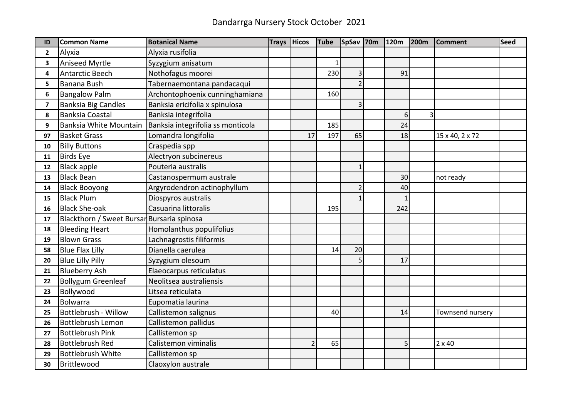| ID             | <b>Common Name</b>                         | <b>Botanical Name</b>             | <b>Trays</b> | <b>Hicos</b>  | <b>Tube</b> | SpSav 70m      | 120m         | <b>200m</b> | <b>Comment</b>   | <b>Seed</b> |
|----------------|--------------------------------------------|-----------------------------------|--------------|---------------|-------------|----------------|--------------|-------------|------------------|-------------|
| $\mathbf{2}$   | Alyxia                                     | Alyxia rusifolia                  |              |               |             |                |              |             |                  |             |
| 3              | <b>Aniseed Myrtle</b>                      | Syzygium anisatum                 |              |               | 1           |                |              |             |                  |             |
| 4              | <b>Antarctic Beech</b>                     | Nothofagus moorei                 |              |               | 230         | 3              | 91           |             |                  |             |
| 5              | <b>Banana Bush</b>                         | Tabernaemontana pandacaqui        |              |               |             | $\overline{2}$ |              |             |                  |             |
| 6              | <b>Bangalow Palm</b>                       | Archontophoenix cunninghamiana    |              |               | 160         |                |              |             |                  |             |
| $\overline{ }$ | <b>Banksia Big Candles</b>                 | Banksia ericifolia x spinulosa    |              |               |             | 3              |              |             |                  |             |
| 8              | <b>Banksia Coastal</b>                     | Banksia integrifolia              |              |               |             |                | 6            | 3           |                  |             |
| 9              | Banksia White Mountain                     | Banksia integrifolia ss monticola |              |               | 185         |                | 24           |             |                  |             |
| 97             | <b>Basket Grass</b>                        | Lomandra longifolia               |              | 17            | 197         | 65             | 18           |             | 15 x 40, 2 x 72  |             |
| 10             | <b>Billy Buttons</b>                       | Craspedia spp                     |              |               |             |                |              |             |                  |             |
| 11             | <b>Birds Eye</b>                           | Alectryon subcinereus             |              |               |             |                |              |             |                  |             |
| 12             | <b>Black apple</b>                         | Pouteria australis                |              |               |             | $\mathbf{1}$   |              |             |                  |             |
| 13             | <b>Black Bean</b>                          | Castanospermum australe           |              |               |             |                | 30           |             | not ready        |             |
| 14             | <b>Black Booyong</b>                       | Argyrodendron actinophyllum       |              |               |             | 2              | 40           |             |                  |             |
| 15             | <b>Black Plum</b>                          | Diospyros australis               |              |               |             |                | $\mathbf{1}$ |             |                  |             |
| 16             | <b>Black She-oak</b>                       | Casuarina littoralis              |              |               | 195         |                | 242          |             |                  |             |
| 17             | Blackthorn / Sweet Bursar Bursaria spinosa |                                   |              |               |             |                |              |             |                  |             |
| 18             | <b>Bleeding Heart</b>                      | Homolanthus populifolius          |              |               |             |                |              |             |                  |             |
| 19             | <b>Blown Grass</b>                         | Lachnagrostis filiformis          |              |               |             |                |              |             |                  |             |
| 58             | <b>Blue Flax Lilly</b>                     | Dianella caerulea                 |              |               | 14          | 20             |              |             |                  |             |
| 20             | <b>Blue Lilly Pilly</b>                    | Syzygium olesoum                  |              |               |             | 5              | 17           |             |                  |             |
| 21             | <b>Blueberry Ash</b>                       | Elaeocarpus reticulatus           |              |               |             |                |              |             |                  |             |
| 22             | <b>Bollygum Greenleaf</b>                  | Neolitsea australiensis           |              |               |             |                |              |             |                  |             |
| 23             | Bollywood                                  | Litsea reticulata                 |              |               |             |                |              |             |                  |             |
| 24             | <b>Bolwarra</b>                            | Eupomatia laurina                 |              |               |             |                |              |             |                  |             |
| 25             | Bottlebrush - Willow                       | Callistemon salignus              |              |               | 40          |                | 14           |             | Townsend nursery |             |
| 26             | <b>Bottlebrush Lemon</b>                   | Callistemon pallidus              |              |               |             |                |              |             |                  |             |
| 27             | <b>Bottlebrush Pink</b>                    | Callistemon sp                    |              |               |             |                |              |             |                  |             |
| 28             | <b>Bottlebrush Red</b>                     | Calistemon viminalis              |              | $\mathcal{P}$ | 65          |                | 5            |             | $2 \times 40$    |             |
| 29             | <b>Bottlebrush White</b>                   | Callistemon sp                    |              |               |             |                |              |             |                  |             |
| 30             | Brittlewood                                | Claoxylon australe                |              |               |             |                |              |             |                  |             |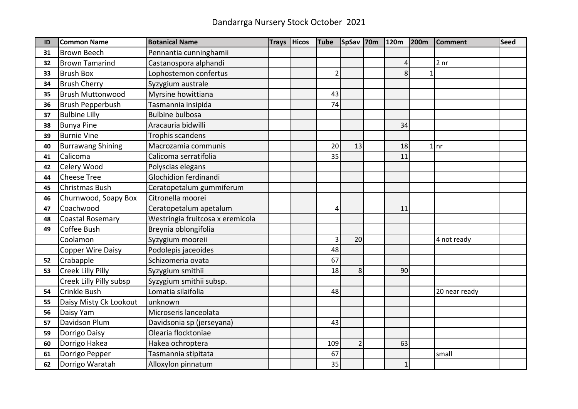## Dandarrga Nursery Stock October 2021

| ID | <b>Common Name</b>       | <b>Botanical Name</b>            | <b>Trays</b> | <b>Hicos</b> | <b>Tube</b>    | SpSav 70m      | 120m         | <b>200m</b> | <b>Comment</b>  | <b>Seed</b> |
|----|--------------------------|----------------------------------|--------------|--------------|----------------|----------------|--------------|-------------|-----------------|-------------|
| 31 | <b>Brown Beech</b>       | Pennantia cunninghamii           |              |              |                |                |              |             |                 |             |
| 32 | <b>Brown Tamarind</b>    | Castanospora alphandi            |              |              |                |                | 4            |             | 2 <sub>nr</sub> |             |
| 33 | <b>Brush Box</b>         | Lophostemon confertus            |              |              | $\overline{2}$ |                | 8            |             |                 |             |
| 34 | <b>Brush Cherry</b>      | Syzygium australe                |              |              |                |                |              |             |                 |             |
| 35 | <b>Brush Muttonwood</b>  | Myrsine howittiana               |              |              | 43             |                |              |             |                 |             |
| 36 | <b>Brush Pepperbush</b>  | Tasmannia insipida               |              |              | 74             |                |              |             |                 |             |
| 37 | <b>Bulbine Lilly</b>     | <b>Bulbine bulbosa</b>           |              |              |                |                |              |             |                 |             |
| 38 | <b>Bunya Pine</b>        | Aracauria bidwilli               |              |              |                |                | 34           |             |                 |             |
| 39 | <b>Burnie Vine</b>       | Trophis scandens                 |              |              |                |                |              |             |                 |             |
| 40 | <b>Burrawang Shining</b> | Macrozamia communis              |              |              | 20             | 13             | 18           |             | $1$ nr          |             |
| 41 | Calicoma                 | Calicoma serratifolia            |              |              | 35             |                | 11           |             |                 |             |
| 42 | Celery Wood              | Polyscias elegans                |              |              |                |                |              |             |                 |             |
| 44 | <b>Cheese Tree</b>       | Glochidion ferdinandi            |              |              |                |                |              |             |                 |             |
| 45 | Christmas Bush           | Ceratopetalum gummiferum         |              |              |                |                |              |             |                 |             |
| 46 | Churnwood, Soapy Box     | Citronella moorei                |              |              |                |                |              |             |                 |             |
| 47 | Coachwood                | Ceratopetalum apetalum           |              |              | 4              |                | 11           |             |                 |             |
| 48 | <b>Coastal Rosemary</b>  | Westringia fruitcosa x eremicola |              |              |                |                |              |             |                 |             |
| 49 | Coffee Bush              | Breynia oblongifolia             |              |              |                |                |              |             |                 |             |
|    | Coolamon                 | Syzygium mooreii                 |              |              | $\overline{3}$ | 20             |              |             | 4 not ready     |             |
|    | <b>Copper Wire Daisy</b> | Podolepis jaceoides              |              |              | 48             |                |              |             |                 |             |
| 52 | Crabapple                | Schizomeria ovata                |              |              | 67             |                |              |             |                 |             |
| 53 | <b>Creek Lilly Pilly</b> | Syzygium smithii                 |              |              | 18             | 8              | 90           |             |                 |             |
|    | Creek Lilly Pilly subsp  | Syzygium smithii subsp.          |              |              |                |                |              |             |                 |             |
| 54 | Crinkle Bush             | Lomatia silaifolia               |              |              | 48             |                |              |             | 20 near ready   |             |
| 55 | Daisy Misty Ck Lookout   | unknown                          |              |              |                |                |              |             |                 |             |
| 56 | Daisy Yam                | Microseris lanceolata            |              |              |                |                |              |             |                 |             |
| 57 | Davidson Plum            | Davidsonia sp (jerseyana)        |              |              | 43             |                |              |             |                 |             |
| 59 | Dorrigo Daisy            | Olearia flocktoniae              |              |              |                |                |              |             |                 |             |
| 60 | Dorrigo Hakea            | Hakea ochroptera                 |              |              | 109            | $\overline{2}$ | 63           |             |                 |             |
| 61 | Dorrigo Pepper           | Tasmannia stipitata              |              |              | 67             |                |              |             | small           |             |
| 62 | Dorrigo Waratah          | Alloxylon pinnatum               |              |              | 35             |                | $\mathbf{1}$ |             |                 |             |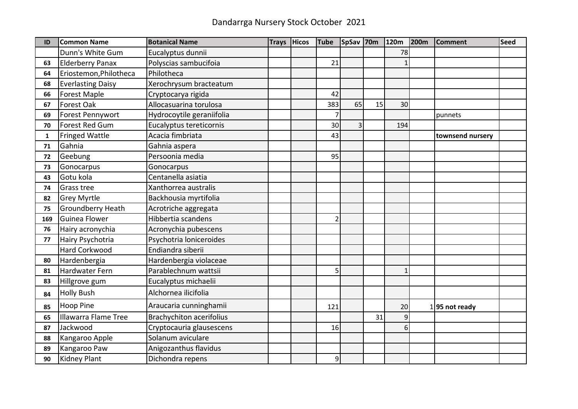| ID           | <b>Common Name</b>          | <b>Botanical Name</b>           | <b>Trays</b> | <b>Hicos</b> | <b>Tube</b> | SpSav 70m |    | 120m         | <b>200m</b> | <b>Comment</b>    | <b>Seed</b> |
|--------------|-----------------------------|---------------------------------|--------------|--------------|-------------|-----------|----|--------------|-------------|-------------------|-------------|
|              | Dunn's White Gum            | Eucalyptus dunnii               |              |              |             |           |    | 78           |             |                   |             |
| 63           | <b>Elderberry Panax</b>     | Polyscias sambucifoia           |              |              | 21          |           |    |              |             |                   |             |
| 64           | Eriostemon, Philotheca      | Philotheca                      |              |              |             |           |    |              |             |                   |             |
| 68           | <b>Everlasting Daisy</b>    | Xerochrysum bracteatum          |              |              |             |           |    |              |             |                   |             |
| 66           | Forest Maple                | Cryptocarya rigida              |              |              | 42          |           |    |              |             |                   |             |
| 67           | Forest Oak                  | Allocasuarina torulosa          |              |              | 383         | 65        | 15 | 30           |             |                   |             |
| 69           | Forest Pennywort            | Hydrocoytile geraniifolia       |              |              |             |           |    |              |             | punnets           |             |
| 70           | <b>Forest Red Gum</b>       | Eucalyptus tereticornis         |              |              | 30          | 3         |    | 194          |             |                   |             |
| $\mathbf{1}$ | <b>Fringed Wattle</b>       | Acacia fimbriata                |              |              | 43          |           |    |              |             | townsend nursery  |             |
| 71           | Gahnia                      | Gahnia aspera                   |              |              |             |           |    |              |             |                   |             |
| 72           | Geebung                     | Persoonia media                 |              |              | 95          |           |    |              |             |                   |             |
| 73           | Gonocarpus                  | Gonocarpus                      |              |              |             |           |    |              |             |                   |             |
| 43           | Gotu kola                   | Centanella asiatia              |              |              |             |           |    |              |             |                   |             |
| 74           | Grass tree                  | Xanthorrea australis            |              |              |             |           |    |              |             |                   |             |
| 82           | <b>Grey Myrtle</b>          | Backhousia myrtifolia           |              |              |             |           |    |              |             |                   |             |
| 75           | Groundberry Heath           | Acrotriche aggregata            |              |              |             |           |    |              |             |                   |             |
| 169          | <b>Guinea Flower</b>        | Hibbertia scandens              |              |              |             |           |    |              |             |                   |             |
| 76           | Hairy acronychia            | Acronychia pubescens            |              |              |             |           |    |              |             |                   |             |
| 77           | Hairy Psychotria            | Psychotria loniceroides         |              |              |             |           |    |              |             |                   |             |
|              | <b>Hard Corkwood</b>        | Endiandra siberii               |              |              |             |           |    |              |             |                   |             |
| 80           | Hardenbergia                | Hardenbergia violaceae          |              |              |             |           |    |              |             |                   |             |
| 81           | <b>Hardwater Fern</b>       | Parablechnum wattsii            |              |              | 5           |           |    | $\mathbf{1}$ |             |                   |             |
| 83           | Hillgrove gum               | Eucalyptus michaelii            |              |              |             |           |    |              |             |                   |             |
| 84           | <b>Holly Bush</b>           | Alchornea ilicifolia            |              |              |             |           |    |              |             |                   |             |
| 85           | Hoop Pine                   | Araucaria cunninghamii          |              |              | 121         |           |    | 20           |             | $1$  95 not ready |             |
| 65           | <b>Illawarra Flame Tree</b> | <b>Brachychiton acerifolius</b> |              |              |             |           | 31 | 9            |             |                   |             |
| 87           | Jackwood                    | Cryptocauria glausescens        |              |              | 16          |           |    | 6            |             |                   |             |
| 88           | Kangaroo Apple              | Solanum aviculare               |              |              |             |           |    |              |             |                   |             |
| 89           | Kangaroo Paw                | Anigozanthus flavidus           |              |              |             |           |    |              |             |                   |             |
| 90           | <b>Kidney Plant</b>         | Dichondra repens                |              |              | 9           |           |    |              |             |                   |             |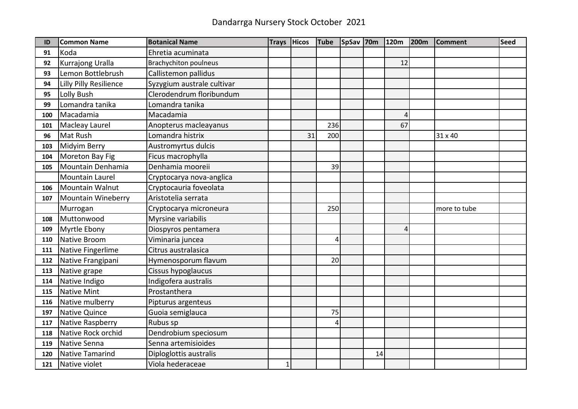| ID  | <b>Common Name</b>        | <b>Botanical Name</b>        | <b>Trays</b> | <b>Hicos</b> | <b>Tube</b>          | SpSav 70m |    | 120m | <b>200m</b> | <b>Comment</b> | <b>Seed</b> |
|-----|---------------------------|------------------------------|--------------|--------------|----------------------|-----------|----|------|-------------|----------------|-------------|
| 91  | Koda                      | Ehretia acuminata            |              |              |                      |           |    |      |             |                |             |
| 92  | Kurrajong Uralla          | <b>Brachychiton poulneus</b> |              |              |                      |           |    | 12   |             |                |             |
| 93  | Lemon Bottlebrush         | Callistemon pallidus         |              |              |                      |           |    |      |             |                |             |
| 94  | Lilly Pilly Resilience    | Syzygium australe cultivar   |              |              |                      |           |    |      |             |                |             |
| 95  | Lolly Bush                | Clerodendrum floribundum     |              |              |                      |           |    |      |             |                |             |
| 99  | Lomandra tanika           | Lomandra tanika              |              |              |                      |           |    |      |             |                |             |
| 100 | Macadamia                 | Macadamia                    |              |              |                      |           |    | 4    |             |                |             |
| 101 | Macleay Laurel            | Anopterus macleayanus        |              |              | 236                  |           |    | 67   |             |                |             |
| 96  | Mat Rush                  | Lomandra histrix             |              | 31           | 200                  |           |    |      |             | 31 x 40        |             |
| 103 | Midyim Berry              | Austromyrtus dulcis          |              |              |                      |           |    |      |             |                |             |
| 104 | Moreton Bay Fig           | Ficus macrophylla            |              |              |                      |           |    |      |             |                |             |
| 105 | Mountain Denhamia         | Denhamia mooreii             |              |              | 39                   |           |    |      |             |                |             |
|     | <b>Mountain Laurel</b>    | Cryptocarya nova-anglica     |              |              |                      |           |    |      |             |                |             |
| 106 | Mountain Walnut           | Cryptocauria foveolata       |              |              |                      |           |    |      |             |                |             |
| 107 | <b>Mountain Wineberry</b> | Aristotelia serrata          |              |              |                      |           |    |      |             |                |             |
|     | Murrogan                  | Cryptocarya microneura       |              |              | 250                  |           |    |      |             | more to tube   |             |
| 108 | Muttonwood                | Myrsine variabilis           |              |              |                      |           |    |      |             |                |             |
| 109 | Myrtle Ebony              | Diospyros pentamera          |              |              |                      |           |    | 4    |             |                |             |
| 110 | Native Broom              | Viminaria juncea             |              |              | $\overline{\Lambda}$ |           |    |      |             |                |             |
| 111 | Native Fingerlime         | Citrus australasica          |              |              |                      |           |    |      |             |                |             |
| 112 | Native Frangipani         | Hymenosporum flavum          |              |              | 20                   |           |    |      |             |                |             |
| 113 | Native grape              | Cissus hypoglaucus           |              |              |                      |           |    |      |             |                |             |
| 114 | Native Indigo             | Indigofera australis         |              |              |                      |           |    |      |             |                |             |
| 115 | <b>Native Mint</b>        | Prostanthera                 |              |              |                      |           |    |      |             |                |             |
| 116 | Native mulberry           | Pipturus argenteus           |              |              |                      |           |    |      |             |                |             |
| 197 | Native Quince             | Guoia semiglauca             |              |              | 75                   |           |    |      |             |                |             |
| 117 | Native Raspberry          | Rubus sp                     |              |              |                      |           |    |      |             |                |             |
| 118 | Native Rock orchid        | Dendrobium speciosum         |              |              |                      |           |    |      |             |                |             |
| 119 | Native Senna              | Senna artemisioides          |              |              |                      |           |    |      |             |                |             |
| 120 | <b>Native Tamarind</b>    | Diploglottis australis       |              |              |                      |           | 14 |      |             |                |             |
| 121 | Native violet             | Viola hederaceae             | 1            |              |                      |           |    |      |             |                |             |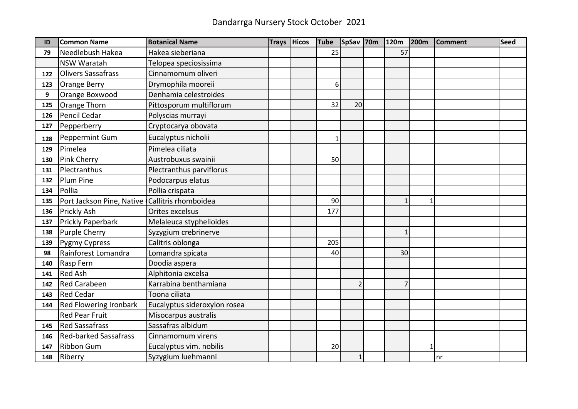| ID  | <b>Common Name</b>                             | <b>Botanical Name</b>        | <b>Trays</b> | Hicos | <b>Tube</b>    | SpSav 70m      | 120m           | <b>200m</b>  | <b>Comment</b> | <b>Seed</b> |
|-----|------------------------------------------------|------------------------------|--------------|-------|----------------|----------------|----------------|--------------|----------------|-------------|
| 79  | Needlebush Hakea                               | Hakea sieberiana             |              |       | 25             |                | 57             |              |                |             |
|     | <b>NSW Waratah</b>                             | Telopea speciosissima        |              |       |                |                |                |              |                |             |
| 122 | <b>Olivers Sassafrass</b>                      | Cinnamomum oliveri           |              |       |                |                |                |              |                |             |
| 123 | <b>Orange Berry</b>                            | Drymophila mooreii           |              |       | 6 <sup>1</sup> |                |                |              |                |             |
| 9   | Orange Boxwood                                 | Denhamia celestroides        |              |       |                |                |                |              |                |             |
| 125 | Orange Thorn                                   | Pittosporum multiflorum      |              |       | 32             | 20             |                |              |                |             |
| 126 | Pencil Cedar                                   | Polyscias murrayi            |              |       |                |                |                |              |                |             |
| 127 | Pepperberry                                    | Cryptocarya obovata          |              |       |                |                |                |              |                |             |
| 128 | Peppermint Gum                                 | Eucalyptus nicholii          |              |       |                |                |                |              |                |             |
| 129 | Pimelea                                        | Pimelea ciliata              |              |       |                |                |                |              |                |             |
| 130 | Pink Cherry                                    | Austrobuxus swainii          |              |       | 50             |                |                |              |                |             |
| 131 | Plectranthus                                   | Plectranthus parviflorus     |              |       |                |                |                |              |                |             |
| 132 | Plum Pine                                      | Podocarpus elatus            |              |       |                |                |                |              |                |             |
| 134 | Pollia                                         | Pollia crispata              |              |       |                |                |                |              |                |             |
| 135 | Port Jackson Pine, Native Callitris rhomboidea |                              |              |       | 90             |                | $\mathbf{1}$   | $\mathbf{1}$ |                |             |
| 136 | Prickly Ash                                    | Orites excelsus              |              |       | 177            |                |                |              |                |             |
| 137 | Prickly Paperbark                              | Melaleuca styphelioides      |              |       |                |                |                |              |                |             |
| 138 | <b>Purple Cherry</b>                           | Syzygium crebrinerve         |              |       |                |                | $\mathbf{1}$   |              |                |             |
| 139 | <b>Pygmy Cypress</b>                           | Calitris oblonga             |              |       | 205            |                |                |              |                |             |
| 98  | Rainforest Lomandra                            | Lomandra spicata             |              |       | 40             |                | 30             |              |                |             |
| 140 | Rasp Fern                                      | Doodia aspera                |              |       |                |                |                |              |                |             |
| 141 | <b>Red Ash</b>                                 | Alphitonia excelsa           |              |       |                |                |                |              |                |             |
| 142 | <b>Red Carabeen</b>                            | Karrabina benthamiana        |              |       |                | $\overline{2}$ | $\overline{7}$ |              |                |             |
| 143 | <b>Red Cedar</b>                               | Toona ciliata                |              |       |                |                |                |              |                |             |
| 144 | Red Flowering Ironbark                         | Eucalyptus sideroxylon rosea |              |       |                |                |                |              |                |             |
|     | <b>Red Pear Fruit</b>                          | Misocarpus australis         |              |       |                |                |                |              |                |             |
| 145 | <b>Red Sassafrass</b>                          | Sassafras albidum            |              |       |                |                |                |              |                |             |
| 146 | <b>Red-barked Sassafrass</b>                   | Cinnamomum virens            |              |       |                |                |                |              |                |             |
| 147 | <b>Ribbon Gum</b>                              | Eucalyptus vim. nobilis      |              |       | 20             |                |                | $\mathbf{1}$ |                |             |
| 148 | Riberry                                        | Syzygium luehmanni           |              |       |                | $1\vert$       |                |              | nr             |             |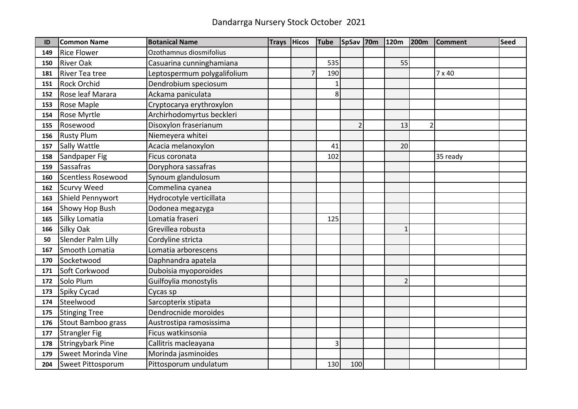| ID  | <b>Common Name</b>        | <b>Botanical Name</b>       | <b>Trays</b> | <b>Hicos</b> | <b>Tube</b>  | SpSav 70m      | 120m           | <b>200m</b>    | <b>Comment</b> | <b>Seed</b> |
|-----|---------------------------|-----------------------------|--------------|--------------|--------------|----------------|----------------|----------------|----------------|-------------|
| 149 | <b>Rice Flower</b>        | Ozothamnus diosmifolius     |              |              |              |                |                |                |                |             |
| 150 | <b>River Oak</b>          | Casuarina cunninghamiana    |              |              | 535          |                | 55             |                |                |             |
| 181 | River Tea tree            | Leptospermum polygalifolium |              |              | 190          |                |                |                | $7 \times 40$  |             |
| 151 | <b>Rock Orchid</b>        | Dendrobium speciosum        |              |              | $\mathbf{1}$ |                |                |                |                |             |
| 152 | Rose leaf Marara          | Ackama paniculata           |              |              | 8            |                |                |                |                |             |
| 153 | Rose Maple                | Cryptocarya erythroxylon    |              |              |              |                |                |                |                |             |
| 154 | Rose Myrtle               | Archirhodomyrtus beckleri   |              |              |              |                |                |                |                |             |
| 155 | Rosewood                  | Disoxylon fraserianum       |              |              |              | $\overline{2}$ | 13             | $\overline{2}$ |                |             |
| 156 | <b>Rusty Plum</b>         | Niemeyera whitei            |              |              |              |                |                |                |                |             |
| 157 | Sally Wattle              | Acacia melanoxylon          |              |              | 41           |                | 20             |                |                |             |
| 158 | Sandpaper Fig             | Ficus coronata              |              |              | 102          |                |                |                | 35 ready       |             |
| 159 | <b>Sassafras</b>          | Doryphora sassafras         |              |              |              |                |                |                |                |             |
| 160 | <b>Scentless Rosewood</b> | Synoum glandulosum          |              |              |              |                |                |                |                |             |
| 162 | <b>Scurvy Weed</b>        | Commelina cyanea            |              |              |              |                |                |                |                |             |
| 163 | Shield Pennywort          | Hydrocotyle verticillata    |              |              |              |                |                |                |                |             |
| 164 | <b>Showy Hop Bush</b>     | Dodonea megazyga            |              |              |              |                |                |                |                |             |
| 165 | Silky Lomatia             | Lomatia fraseri             |              |              | 125          |                |                |                |                |             |
| 166 | <b>Silky Oak</b>          | Grevillea robusta           |              |              |              |                | $\mathbf{1}$   |                |                |             |
| 50  | Slender Palm Lilly        | Cordyline stricta           |              |              |              |                |                |                |                |             |
| 167 | Smooth Lomatia            | Lomatia arborescens         |              |              |              |                |                |                |                |             |
| 170 | Socketwood                | Daphnandra apatela          |              |              |              |                |                |                |                |             |
| 171 | Soft Corkwood             | Duboisia myoporoides        |              |              |              |                |                |                |                |             |
| 172 | Solo Plum                 | Guilfoylia monostylis       |              |              |              |                | $\overline{2}$ |                |                |             |
| 173 | Spiky Cycad               | Cycas sp                    |              |              |              |                |                |                |                |             |
| 174 | Steelwood                 | Sarcopterix stipata         |              |              |              |                |                |                |                |             |
| 175 | <b>Stinging Tree</b>      | Dendrocnide moroides        |              |              |              |                |                |                |                |             |
| 176 | Stout Bamboo grass        | Austrostipa ramosissima     |              |              |              |                |                |                |                |             |
| 177 | <b>Strangler Fig</b>      | Ficus watkinsonia           |              |              |              |                |                |                |                |             |
| 178 | <b>Stringybark Pine</b>   | Callitris macleayana        |              |              | 3            |                |                |                |                |             |
| 179 | Sweet Morinda Vine        | Morinda jasminoides         |              |              |              |                |                |                |                |             |
| 204 | Sweet Pittosporum         | Pittosporum undulatum       |              |              | 130          | 100            |                |                |                |             |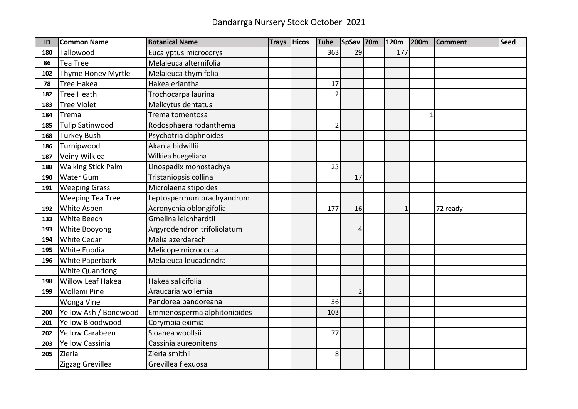| ID  | <b>Common Name</b>        | <b>Botanical Name</b>       | <b>Trays</b> | Hicos | <b>Tube</b>              | SpSav 70m      | 120m         | 200m | <b>Comment</b> | <b>Seed</b> |
|-----|---------------------------|-----------------------------|--------------|-------|--------------------------|----------------|--------------|------|----------------|-------------|
| 180 | Tallowood                 | Eucalyptus microcorys       |              |       | 363                      | 29             | 177          |      |                |             |
| 86  | <b>Tea Tree</b>           | Melaleuca alternifolia      |              |       |                          |                |              |      |                |             |
| 102 | Thyme Honey Myrtle        | Melaleuca thymifolia        |              |       |                          |                |              |      |                |             |
| 78  | <b>Tree Hakea</b>         | Hakea eriantha              |              |       | 17                       |                |              |      |                |             |
| 182 | <b>Tree Heath</b>         | Trochocarpa laurina         |              |       | $\mathcal{P}$            |                |              |      |                |             |
| 183 | <b>Tree Violet</b>        | Melicytus dentatus          |              |       |                          |                |              |      |                |             |
| 184 | Trema                     | Trema tomentosa             |              |       |                          |                |              | 1    |                |             |
| 185 | <b>Tulip Satinwood</b>    | Rodosphaera rodanthema      |              |       | $\overline{\phantom{a}}$ |                |              |      |                |             |
| 168 | <b>Turkey Bush</b>        | Psychotria daphnoides       |              |       |                          |                |              |      |                |             |
| 186 | Turnipwood                | Akania bidwillii            |              |       |                          |                |              |      |                |             |
| 187 | Veiny Wilkiea             | Wilkiea huegeliana          |              |       |                          |                |              |      |                |             |
| 188 | <b>Walking Stick Palm</b> | Linospadix monostachya      |              |       | 23                       |                |              |      |                |             |
| 190 | <b>Water Gum</b>          | Tristaniopsis collina       |              |       |                          | 17             |              |      |                |             |
| 191 | <b>Weeping Grass</b>      | Microlaena stipoides        |              |       |                          |                |              |      |                |             |
|     | <b>Weeping Tea Tree</b>   | Leptospermum brachyandrum   |              |       |                          |                |              |      |                |             |
| 192 | <b>White Aspen</b>        | Acronychia oblongifolia     |              |       | 177                      | 16             | $\mathbf{1}$ |      | 72 ready       |             |
| 133 | <b>White Beech</b>        | Gmelina leichhardtii        |              |       |                          |                |              |      |                |             |
| 193 | <b>White Booyong</b>      | Argyrodendron trifoliolatum |              |       |                          | 4              |              |      |                |             |
| 194 | <b>White Cedar</b>        | Melia azerdarach            |              |       |                          |                |              |      |                |             |
| 195 | White Euodia              | Melicope micrococca         |              |       |                          |                |              |      |                |             |
| 196 | <b>White Paperbark</b>    | Melaleuca leucadendra       |              |       |                          |                |              |      |                |             |
|     | <b>White Quandong</b>     |                             |              |       |                          |                |              |      |                |             |
| 198 | Willow Leaf Hakea         | Hakea salicifolia           |              |       |                          |                |              |      |                |             |
| 199 | <b>Wollemi Pine</b>       | Araucaria wollemia          |              |       |                          | $\overline{2}$ |              |      |                |             |
|     | Wonga Vine                | Pandorea pandoreana         |              |       | 36                       |                |              |      |                |             |
| 200 | Yellow Ash / Bonewood     | Emmenosperma alphitonioides |              |       | 103                      |                |              |      |                |             |
| 201 | <b>Yellow Bloodwood</b>   | Corymbia eximia             |              |       |                          |                |              |      |                |             |
| 202 | <b>Yellow Carabeen</b>    | Sloanea woollsii            |              |       | 77                       |                |              |      |                |             |
| 203 | <b>Yellow Cassinia</b>    | Cassinia aureonitens        |              |       |                          |                |              |      |                |             |
| 205 | Zieria                    | Zieria smithii              |              |       | 8                        |                |              |      |                |             |
|     | Zigzag Grevillea          | Grevillea flexuosa          |              |       |                          |                |              |      |                |             |